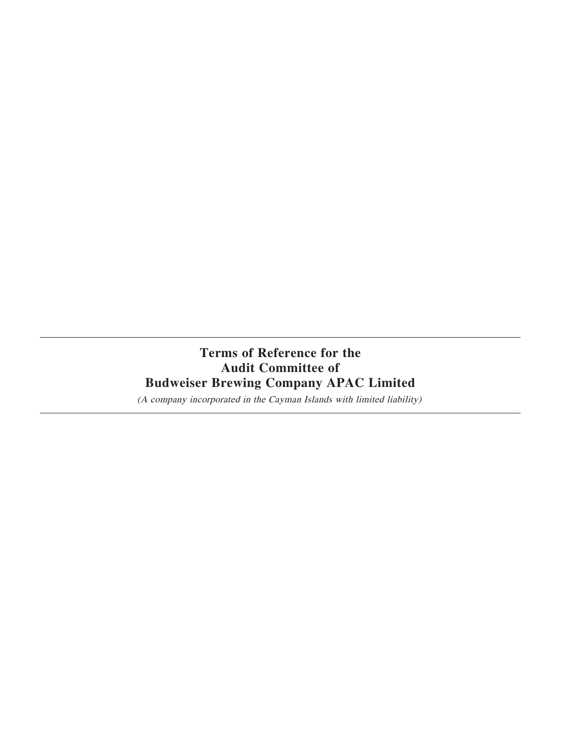# **Terms of Reference for the Audit Committee of Budweiser Brewing Company APAC Limited**

(A company incorporated in the Cayman Islands with limited liability)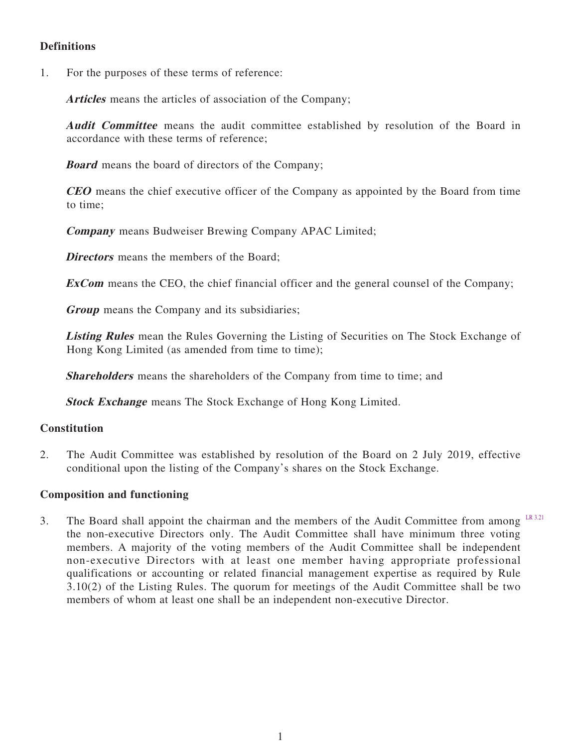# **Definitions**

1. For the purposes of these terms of reference:

**Articles** means the articles of association of the Company;

**Audit Committee** means the audit committee established by resolution of the Board in accordance with these terms of reference;

**Board** means the board of directors of the Company;

**CEO** means the chief executive officer of the Company as appointed by the Board from time to time;

**Company** means Budweiser Brewing Company APAC Limited;

**Directors** means the members of the Board:

**ExCom** means the CEO, the chief financial officer and the general counsel of the Company;

**Group** means the Company and its subsidiaries;

**Listing Rules** mean the Rules Governing the Listing of Securities on The Stock Exchange of Hong Kong Limited (as amended from time to time);

**Shareholders** means the shareholders of the Company from time to time; and

**Stock Exchange** means The Stock Exchange of Hong Kong Limited.

# **Constitution**

2. The Audit Committee was established by resolution of the Board on 2 July 2019, effective conditional upon the listing of the Company's shares on the Stock Exchange.

## **Composition and functioning**

3. The Board shall appoint the chairman and the members of the Audit Committee from among  $LR$  3.21 the non-executive Directors only. The Audit Committee shall have minimum three voting members. A majority of the voting members of the Audit Committee shall be independent non-executive Directors with at least one member having appropriate professional qualifications or accounting or related financial management expertise as required by Rule 3.10(2) of the Listing Rules. The quorum for meetings of the Audit Committee shall be two members of whom at least one shall be an independent non-executive Director.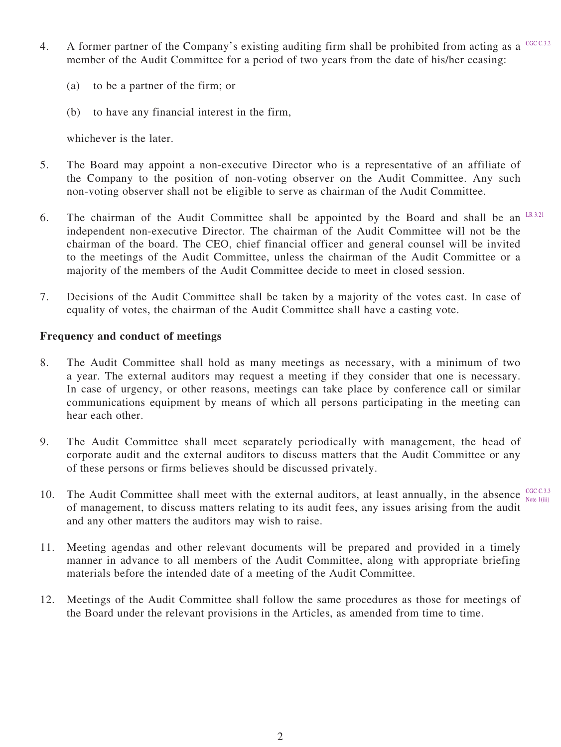- 4. A former partner of the Company's existing auditing firm shall be prohibited from acting as a  $CGC C3.2$ member of the Audit Committee for a period of two years from the date of his/her ceasing:
	- (a) to be a partner of the firm; or
	- (b) to have any financial interest in the firm,

whichever is the later.

- 5. The Board may appoint a non-executive Director who is a representative of an affiliate of the Company to the position of non-voting observer on the Audit Committee. Any such non-voting observer shall not be eligible to serve as chairman of the Audit Committee.
- 6. The chairman of the Audit Committee shall be appointed by the Board and shall be an  $LR^{3.21}$ independent non-executive Director. The chairman of the Audit Committee will not be the chairman of the board. The CEO, chief financial officer and general counsel will be invited to the meetings of the Audit Committee, unless the chairman of the Audit Committee or a majority of the members of the Audit Committee decide to meet in closed session.
- 7. Decisions of the Audit Committee shall be taken by a majority of the votes cast. In case of equality of votes, the chairman of the Audit Committee shall have a casting vote.

#### **Frequency and conduct of meetings**

- 8. The Audit Committee shall hold as many meetings as necessary, with a minimum of two a year. The external auditors may request a meeting if they consider that one is necessary. In case of urgency, or other reasons, meetings can take place by conference call or similar communications equipment by means of which all persons participating in the meeting can hear each other.
- 9. The Audit Committee shall meet separately periodically with management, the head of corporate audit and the external auditors to discuss matters that the Audit Committee or any of these persons or firms believes should be discussed privately.
- 10. The Audit Committee shall meet with the external auditors, at least annually, in the absence  $\frac{\text{CGC C3.3}}{\text{Nota }1/\text{dil}}$ of management, to discuss matters relating to its audit fees, any issues arising from the audit and any other matters the auditors may wish to raise. Note 1(iii)
- 11. Meeting agendas and other relevant documents will be prepared and provided in a timely manner in advance to all members of the Audit Committee, along with appropriate briefing materials before the intended date of a meeting of the Audit Committee.
- 12. Meetings of the Audit Committee shall follow the same procedures as those for meetings of the Board under the relevant provisions in the Articles, as amended from time to time.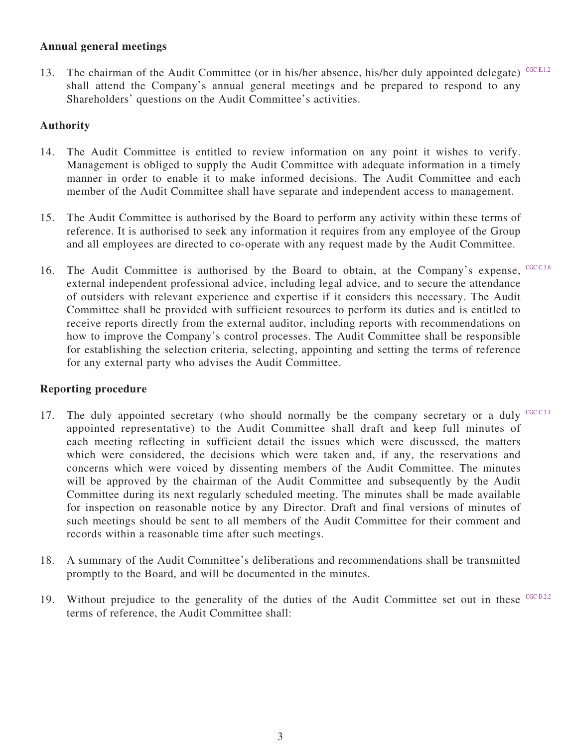# **Annual general meetings**

13. The chairman of the Audit Committee (or in his/her absence, his/her duly appointed delegate) CGC E.1.2 shall attend the Company's annual general meetings and be prepared to respond to any Shareholders' questions on the Audit Committee's activities.

# **Authority**

- 14. The Audit Committee is entitled to review information on any point it wishes to verify. Management is obliged to supply the Audit Committee with adequate information in a timely manner in order to enable it to make informed decisions. The Audit Committee and each member of the Audit Committee shall have separate and independent access to management.
- 15. The Audit Committee is authorised by the Board to perform any activity within these terms of reference. It is authorised to seek any information it requires from any employee of the Group and all employees are directed to co-operate with any request made by the Audit Committee.
- 16. The Audit Committee is authorised by the Board to obtain, at the Company's expense, CGC C.3.6 external independent professional advice, including legal advice, and to secure the attendance of outsiders with relevant experience and expertise if it considers this necessary. The Audit Committee shall be provided with sufficient resources to perform its duties and is entitled to receive reports directly from the external auditor, including reports with recommendations on how to improve the Company's control processes. The Audit Committee shall be responsible for establishing the selection criteria, selecting, appointing and setting the terms of reference for any external party who advises the Audit Committee.

# **Reporting procedure**

- 17. The duly appointed secretary (who should normally be the company secretary or a duly  $CGC$  C.3.1 appointed representative) to the Audit Committee shall draft and keep full minutes of each meeting reflecting in sufficient detail the issues which were discussed, the matters which were considered, the decisions which were taken and, if any, the reservations and concerns which were voiced by dissenting members of the Audit Committee. The minutes will be approved by the chairman of the Audit Committee and subsequently by the Audit Committee during its next regularly scheduled meeting. The minutes shall be made available for inspection on reasonable notice by any Director. Draft and final versions of minutes of such meetings should be sent to all members of the Audit Committee for their comment and records within a reasonable time after such meetings.
- 18. A summary of the Audit Committee's deliberations and recommendations shall be transmitted promptly to the Board, and will be documented in the minutes.
- 19. Without prejudice to the generality of the duties of the Audit Committee set out in these  $C GCD.2.2$ terms of reference, the Audit Committee shall: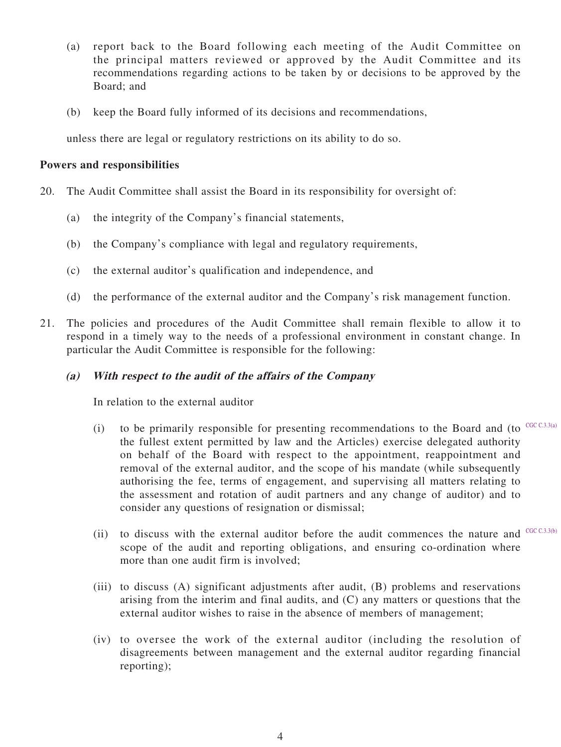- (a) report back to the Board following each meeting of the Audit Committee on the principal matters reviewed or approved by the Audit Committee and its recommendations regarding actions to be taken by or decisions to be approved by the Board; and
- (b) keep the Board fully informed of its decisions and recommendations,

unless there are legal or regulatory restrictions on its ability to do so.

#### **Powers and responsibilities**

- 20. The Audit Committee shall assist the Board in its responsibility for oversight of:
	- (a) the integrity of the Company's financial statements,
	- (b) the Company's compliance with legal and regulatory requirements,
	- (c) the external auditor's qualification and independence, and
	- (d) the performance of the external auditor and the Company's risk management function.
- 21. The policies and procedures of the Audit Committee shall remain flexible to allow it to respond in a timely way to the needs of a professional environment in constant change. In particular the Audit Committee is responsible for the following:

## **(a) With respect to the audit of the affairs of the Company**

In relation to the external auditor

- (i) to be primarily responsible for presenting recommendations to the Board and (to  $C_{\text{CC C.3.3(a)}}$ the fullest extent permitted by law and the Articles) exercise delegated authority on behalf of the Board with respect to the appointment, reappointment and removal of the external auditor, and the scope of his mandate (while subsequently authorising the fee, terms of engagement, and supervising all matters relating to the assessment and rotation of audit partners and any change of auditor) and to consider any questions of resignation or dismissal;
- (ii) to discuss with the external auditor before the audit commences the nature and  $C<sup>CC C.3.3(b)</sup>$ scope of the audit and reporting obligations, and ensuring co-ordination where more than one audit firm is involved;
- (iii) to discuss (A) significant adjustments after audit, (B) problems and reservations arising from the interim and final audits, and (C) any matters or questions that the external auditor wishes to raise in the absence of members of management;
- (iv) to oversee the work of the external auditor (including the resolution of disagreements between management and the external auditor regarding financial reporting);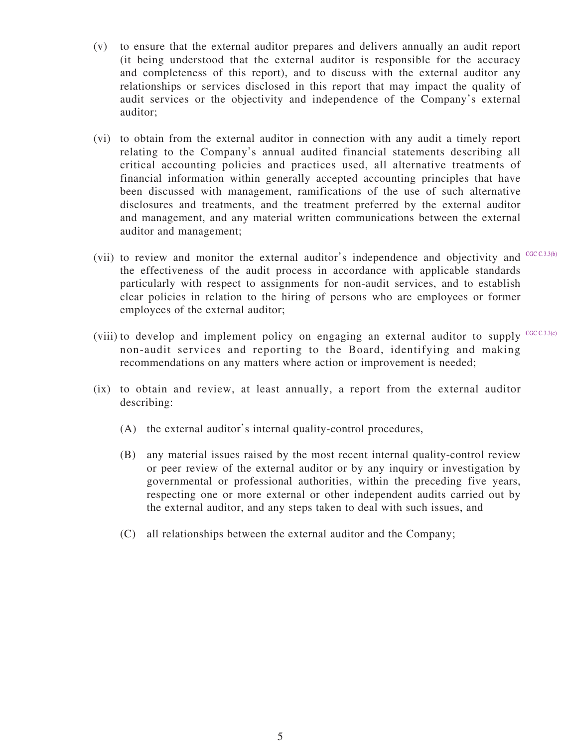- (v) to ensure that the external auditor prepares and delivers annually an audit report (it being understood that the external auditor is responsible for the accuracy and completeness of this report), and to discuss with the external auditor any relationships or services disclosed in this report that may impact the quality of audit services or the objectivity and independence of the Company's external auditor;
- (vi) to obtain from the external auditor in connection with any audit a timely report relating to the Company's annual audited financial statements describing all critical accounting policies and practices used, all alternative treatments of financial information within generally accepted accounting principles that have been discussed with management, ramifications of the use of such alternative disclosures and treatments, and the treatment preferred by the external auditor and management, and any material written communications between the external auditor and management;
- (vii) to review and monitor the external auditor's independence and objectivity and  $C<sup>CC C.3.3(b)</sup>$ the effectiveness of the audit process in accordance with applicable standards particularly with respect to assignments for non-audit services, and to establish clear policies in relation to the hiring of persons who are employees or former employees of the external auditor;
- (viii) to develop and implement policy on engaging an external auditor to supply  $CGC C, 3.3(c)$ non-audit services and reporting to the Board, identifying and making recommendations on any matters where action or improvement is needed;
- (ix) to obtain and review, at least annually, a report from the external auditor describing:
	- (A) the external auditor's internal quality-control procedures,
	- (B) any material issues raised by the most recent internal quality-control review or peer review of the external auditor or by any inquiry or investigation by governmental or professional authorities, within the preceding five years, respecting one or more external or other independent audits carried out by the external auditor, and any steps taken to deal with such issues, and
	- (C) all relationships between the external auditor and the Company;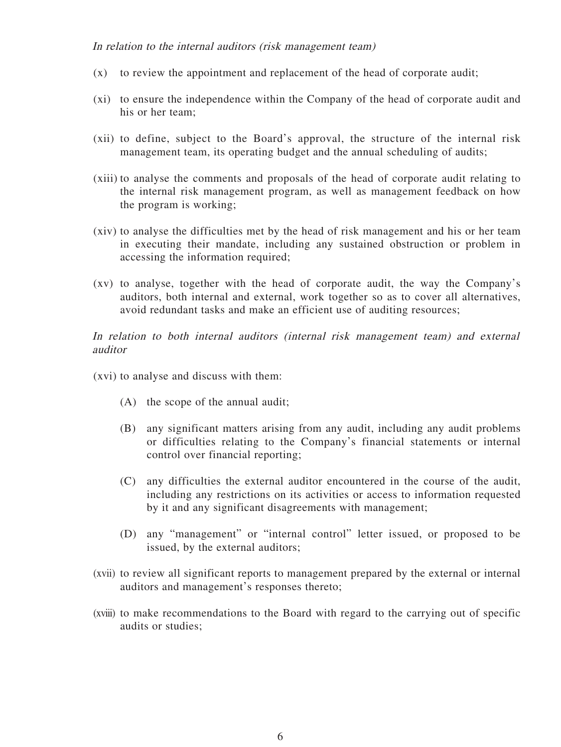#### In relation to the internal auditors (risk management team)

- (x) to review the appointment and replacement of the head of corporate audit;
- (xi) to ensure the independence within the Company of the head of corporate audit and his or her team;
- (xii) to define, subject to the Board's approval, the structure of the internal risk management team, its operating budget and the annual scheduling of audits;
- (xiii) to analyse the comments and proposals of the head of corporate audit relating to the internal risk management program, as well as management feedback on how the program is working;
- (xiv) to analyse the difficulties met by the head of risk management and his or her team in executing their mandate, including any sustained obstruction or problem in accessing the information required;
- (xv) to analyse, together with the head of corporate audit, the way the Company's auditors, both internal and external, work together so as to cover all alternatives, avoid redundant tasks and make an efficient use of auditing resources;

In relation to both internal auditors (internal risk management team) and external auditor

- (xvi) to analyse and discuss with them:
	- (A) the scope of the annual audit;
	- (B) any significant matters arising from any audit, including any audit problems or difficulties relating to the Company's financial statements or internal control over financial reporting;
	- (C) any difficulties the external auditor encountered in the course of the audit, including any restrictions on its activities or access to information requested by it and any significant disagreements with management;
	- (D) any "management" or "internal control" letter issued, or proposed to be issued, by the external auditors;
- (xvii) to review all significant reports to management prepared by the external or internal auditors and management's responses thereto;
- (xviii) to make recommendations to the Board with regard to the carrying out of specific audits or studies;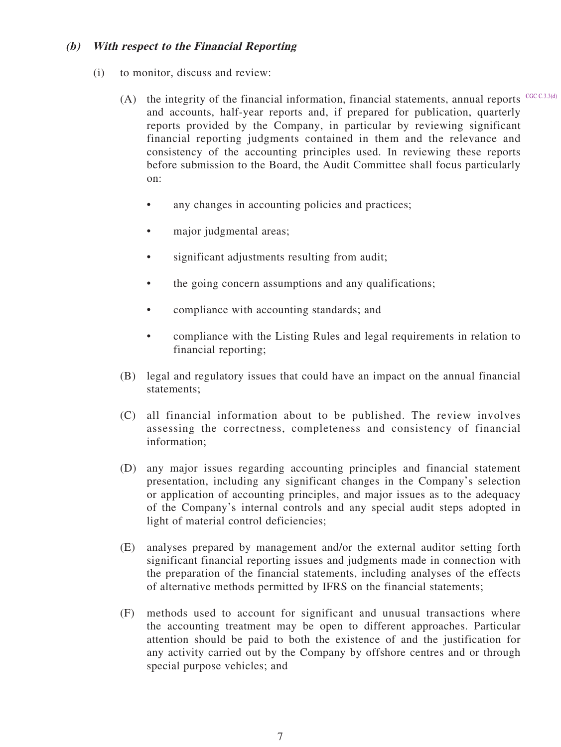## **(b) With respect to the Financial Reporting**

- (i) to monitor, discuss and review:
	- (A) the integrity of the financial information, financial statements, annual reports  $C<sup>CC C.3.3(d)</sup>$ and accounts, half-year reports and, if prepared for publication, quarterly reports provided by the Company, in particular by reviewing significant financial reporting judgments contained in them and the relevance and consistency of the accounting principles used. In reviewing these reports before submission to the Board, the Audit Committee shall focus particularly on:
		- any changes in accounting policies and practices;
		- major judgmental areas;
		- significant adjustments resulting from audit;
		- the going concern assumptions and any qualifications;
		- compliance with accounting standards; and
		- compliance with the Listing Rules and legal requirements in relation to financial reporting;
	- (B) legal and regulatory issues that could have an impact on the annual financial statements;
	- (C) all financial information about to be published. The review involves assessing the correctness, completeness and consistency of financial information;
	- (D) any major issues regarding accounting principles and financial statement presentation, including any significant changes in the Company's selection or application of accounting principles, and major issues as to the adequacy of the Company's internal controls and any special audit steps adopted in light of material control deficiencies;
	- (E) analyses prepared by management and/or the external auditor setting forth significant financial reporting issues and judgments made in connection with the preparation of the financial statements, including analyses of the effects of alternative methods permitted by IFRS on the financial statements;
	- (F) methods used to account for significant and unusual transactions where the accounting treatment may be open to different approaches. Particular attention should be paid to both the existence of and the justification for any activity carried out by the Company by offshore centres and or through special purpose vehicles; and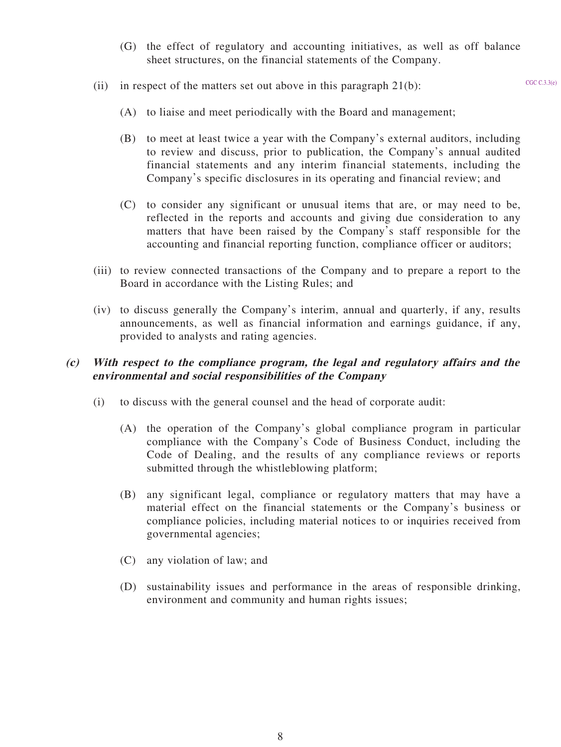- (G) the effect of regulatory and accounting initiatives, as well as off balance sheet structures, on the financial statements of the Company.
- (ii) in respect of the matters set out above in this paragraph  $21(b)$ :

- (A) to liaise and meet periodically with the Board and management;
- (B) to meet at least twice a year with the Company's external auditors, including to review and discuss, prior to publication, the Company's annual audited financial statements and any interim financial statements, including the Company's specific disclosures in its operating and financial review; and
- (C) to consider any significant or unusual items that are, or may need to be, reflected in the reports and accounts and giving due consideration to any matters that have been raised by the Company's staff responsible for the accounting and financial reporting function, compliance officer or auditors;
- (iii) to review connected transactions of the Company and to prepare a report to the Board in accordance with the Listing Rules; and
- (iv) to discuss generally the Company's interim, annual and quarterly, if any, results announcements, as well as financial information and earnings guidance, if any, provided to analysts and rating agencies.

## **(c) With respect to the compliance program, the legal and regulatory affairs and the environmental and social responsibilities of the Company**

- (i) to discuss with the general counsel and the head of corporate audit:
	- (A) the operation of the Company's global compliance program in particular compliance with the Company's Code of Business Conduct, including the Code of Dealing, and the results of any compliance reviews or reports submitted through the whistleblowing platform;
	- (B) any significant legal, compliance or regulatory matters that may have a material effect on the financial statements or the Company's business or compliance policies, including material notices to or inquiries received from governmental agencies;
	- (C) any violation of law; and
	- (D) sustainability issues and performance in the areas of responsible drinking, environment and community and human rights issues;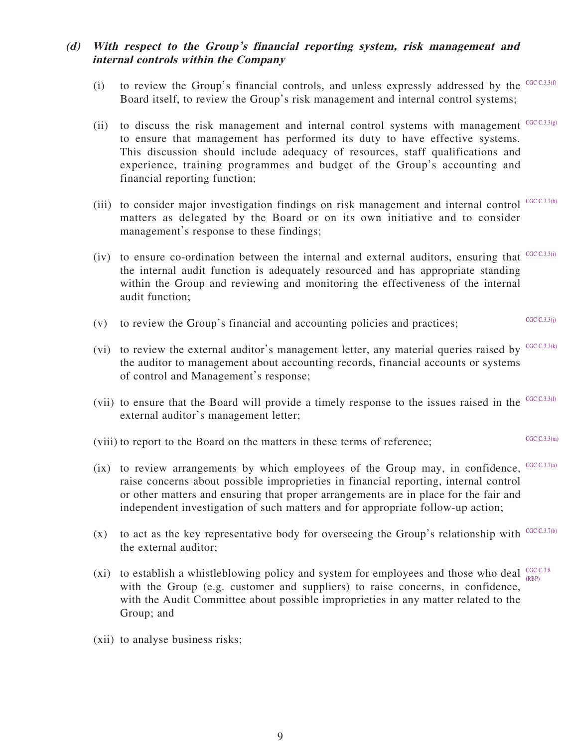# **(d) With respect to the Group's financial reporting system, risk management and internal controls within the Company**

- (i) to review the Group's financial controls, and unless expressly addressed by the  $C<sub>CC C.3.3(f)</sub>$ Board itself, to review the Group's risk management and internal control systems;
- (ii) to discuss the risk management and internal control systems with management  $C<sup>CC C.3.3(g)</sup>$ to ensure that management has performed its duty to have effective systems. This discussion should include adequacy of resources, staff qualifications and experience, training programmes and budget of the Group's accounting and financial reporting function;
- (iii) to consider major investigation findings on risk management and internal control  $CGC C3.3(h)$ matters as delegated by the Board or on its own initiative and to consider management's response to these findings;
- (iv) to ensure co-ordination between the internal and external auditors, ensuring that  $C<sup>CC C.3.3(i)</sup>$ the internal audit function is adequately resourced and has appropriate standing within the Group and reviewing and monitoring the effectiveness of the internal audit function;
- (v) to review the Group's financial and accounting policies and practices; CGC C.3.3(j)
- (vi) to review the external auditor's management letter, any material queries raised by  $CGC C3.3(k)$ the auditor to management about accounting records, financial accounts or systems of control and Management's response;
- (vii) to ensure that the Board will provide a timely response to the issues raised in the  $C<sup>CC C.3.3(1)</sup>$ external auditor's management letter;
- (viii) to report to the Board on the matters in these terms of reference;  $CGC C 3.3(m)$
- (ix) to review arrangements by which employees of the Group may, in confidence,  $C<sup>CC C.3.7(a)</sup>$ raise concerns about possible improprieties in financial reporting, internal control or other matters and ensuring that proper arrangements are in place for the fair and independent investigation of such matters and for appropriate follow-up action;
- (x) to act as the key representative body for overseeing the Group's relationship with  $CGC C3.7(b)$ the external auditor;
- (xi) to establish a whistleblowing policy and system for employees and those who deal  $_{\text{open}}^{\text{CGCC C3.8}}$ with the Group (e.g. customer and suppliers) to raise concerns, in confidence, with the Audit Committee about possible improprieties in any matter related to the Group; and (RBP)
- (xii) to analyse business risks;